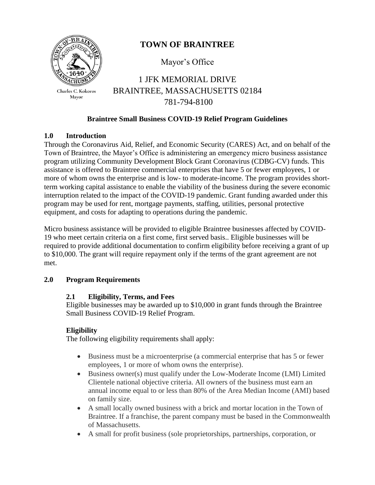

Charles C. Kokoros Mayor

# **TOWN OF BRAINTREE**

Mayor's Office

1 JFK MEMORIAL DRIVE BRAINTREE, MASSACHUSETTS 02184 781-794-8100

#### **Braintree Small Business COVID-19 Relief Program Guidelines**

#### **1.0 Introduction**

Through the Coronavirus Aid, Relief, and Economic Security (CARES) Act, and on behalf of the Town of Braintree, the Mayor's Office is administering an emergency micro business assistance program utilizing Community Development Block Grant Coronavirus (CDBG-CV) funds. This assistance is offered to Braintree commercial enterprises that have 5 or fewer employees, 1 or more of whom owns the enterprise and is low- to moderate-income. The program provides shortterm working capital assistance to enable the viability of the business during the severe economic interruption related to the impact of the COVID-19 pandemic. Grant funding awarded under this program may be used for rent, mortgage payments, staffing, utilities, personal protective equipment, and costs for adapting to operations during the pandemic.

Micro business assistance will be provided to eligible Braintree businesses affected by COVID-19 who meet certain criteria on a first come, first served basis.. Eligible businesses will be required to provide additional documentation to confirm eligibility before receiving a grant of up to \$10,000. The grant will require repayment only if the terms of the grant agreement are not met.

#### **2.0 Program Requirements**

#### **2.1 Eligibility, Terms, and Fees**

Eligible businesses may be awarded up to \$10,000 in grant funds through the Braintree Small Business COVID-19 Relief Program.

## **Eligibility**

The following eligibility requirements shall apply:

- Business must be a microenterprise (a commercial enterprise that has 5 or fewer employees, 1 or more of whom owns the enterprise).
- Business owner(s) must qualify under the Low-Moderate Income (LMI) Limited Clientele national objective criteria. All owners of the business must earn an annual income equal to or less than 80% of the Area Median Income (AMI) based on family size.
- A small locally owned business with a brick and mortar location in the Town of Braintree. If a franchise, the parent company must be based in the Commonwealth of Massachusetts.
- A small for profit business (sole proprietorships, partnerships, corporation, or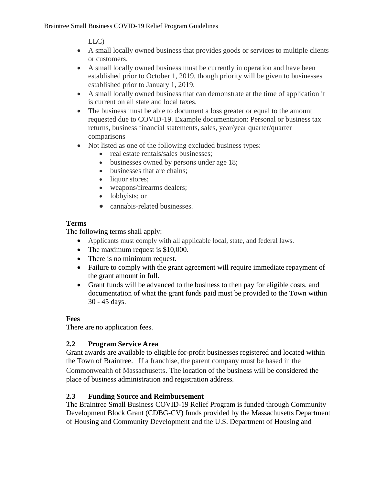LLC)

- A small locally owned business that provides goods or services to multiple clients or customers.
- A small locally owned business must be currently in operation and have been established prior to October 1, 2019, though priority will be given to businesses established prior to January 1, 2019.
- A small locally owned business that can demonstrate at the time of application it is current on all state and local taxes.
- The business must be able to document a loss greater or equal to the amount requested due to COVID-19. Example documentation: Personal or business tax returns, business financial statements, sales, year/year quarter/quarter comparisons
- Not listed as one of the following excluded business types:
	- real estate rentals/sales businesses;
	- businesses owned by persons under age 18;
	- businesses that are chains;
	- liquor stores;
	- weapons/firearms dealers;
	- lobbyists; or
	- cannabis-related businesses.

## **Terms**

The following terms shall apply:

- Applicants must comply with all applicable local, state, and federal laws.
- The maximum request is \$10,000.
- There is no minimum request.
- Failure to comply with the grant agreement will require immediate repayment of the grant amount in full.
- Grant funds will be advanced to the business to then pay for eligible costs, and documentation of what the grant funds paid must be provided to the Town within 30 - 45 days.

## **Fees**

There are no application fees.

## **2.2 Program Service Area**

Grant awards are available to eligible for-profit businesses registered and located within the Town of Braintree. If a franchise, the parent company must be based in the Commonwealth of Massachusetts. The location of the business will be considered the place of business administration and registration address.

## **2.3 Funding Source and Reimbursement**

The Braintree Small Business COVID-19 Relief Program is funded through Community Development Block Grant (CDBG-CV) funds provided by the Massachusetts Department of Housing and Community Development and the U.S. Department of Housing and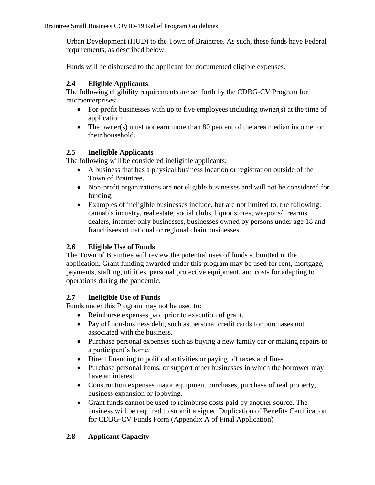Braintree Small Business COVID-19 Relief Program Guidelines

Urban Development (HUD) to the Town of Braintree. As such, these funds have Federal requirements, as described below.

Funds will be disbursed to the applicant for documented eligible expenses.

## **2.4 Eligible Applicants**

The following eligibility requirements are set forth by the CDBG-CV Program for microenterprises:

- For-profit businesses with up to five employees including owner(s) at the time of application;
- The owner(s) must not earn more than 80 percent of the area median income for their household.

#### **2.5 Ineligible Applicants**

The following will be considered ineligible applicants:

- A business that has a physical business location or registration outside of the Town of Braintree.
- Non-profit organizations are not eligible businesses and will not be considered for funding.
- Examples of ineligible businesses include, but are not limited to, the following: cannabis industry, real estate, social clubs, liquor stores, weapons/firearms dealers, internet-only businesses, businesses owned by persons under age 18 and franchisees of national or regional chain businesses.

## **2.6 Eligible Use of Funds**

The Town of Braintree will review the potential uses of funds submitted in the application. Grant funding awarded under this program may be used for rent, mortgage, payments, staffing, utilities, personal protective equipment, and costs for adapting to operations during the pandemic.

## **2.7 Ineligible Use of Funds**

Funds under this Program may not be used to:

- Reimburse expenses paid prior to execution of grant.
- Pay off non-business debt, such as personal credit cards for purchases not associated with the business.
- Purchase personal expenses such as buying a new family car or making repairs to a participant's home.
- Direct financing to political activities or paying off taxes and fines.
- Purchase personal items, or support other businesses in which the borrower may have an interest.
- Construction expenses major equipment purchases, purchase of real property, business expansion or lobbying.
- Grant funds cannot be used to reimburse costs paid by another source. The business will be required to submit a signed Duplication of Benefits Certification for CDBG-CV Funds Form (Appendix A of Final Application)

## **2.8 Applicant Capacity**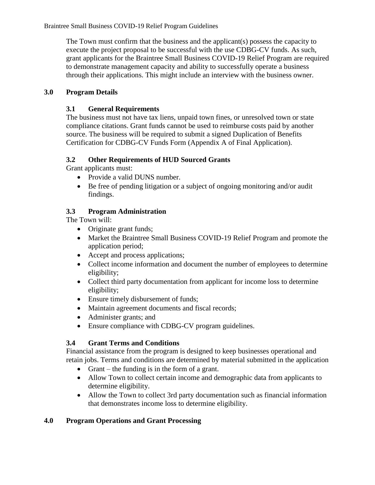The Town must confirm that the business and the applicant(s) possess the capacity to execute the project proposal to be successful with the use CDBG-CV funds. As such, grant applicants for the Braintree Small Business COVID-19 Relief Program are required to demonstrate management capacity and ability to successfully operate a business through their applications. This might include an interview with the business owner.

#### **3.0 Program Details**

#### **3.1 General Requirements**

The business must not have tax liens, unpaid town fines, or unresolved town or state compliance citations. Grant funds cannot be used to reimburse costs paid by another source. The business will be required to submit a signed Duplication of Benefits Certification for CDBG-CV Funds Form (Appendix A of Final Application).

#### **3.2 Other Requirements of HUD Sourced Grants**

Grant applicants must:

- Provide a valid DUNS number.
- Be free of pending litigation or a subject of ongoing monitoring and/or audit findings.

#### **3.3 Program Administration**

The Town will:

- Originate grant funds;
- Market the Braintree Small Business COVID-19 Relief Program and promote the application period;
- Accept and process applications;
- Collect income information and document the number of employees to determine eligibility;
- Collect third party documentation from applicant for income loss to determine eligibility;
- Ensure timely disbursement of funds;
- Maintain agreement documents and fiscal records;
- Administer grants; and
- Ensure compliance with CDBG-CV program guidelines.

## **3.4 Grant Terms and Conditions**

Financial assistance from the program is designed to keep businesses operational and retain jobs. Terms and conditions are determined by material submitted in the application

- Grant the funding is in the form of a grant.
- Allow Town to collect certain income and demographic data from applicants to determine eligibility.
- Allow the Town to collect 3rd party documentation such as financial information that demonstrates income loss to determine eligibility.

## **4.0 Program Operations and Grant Processing**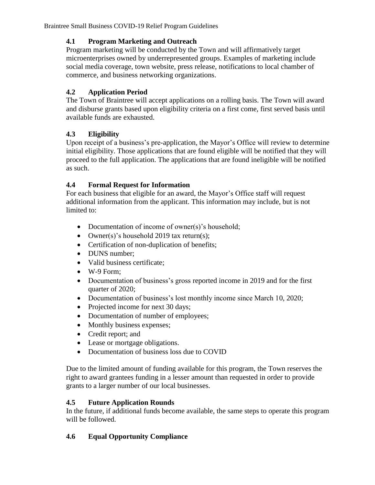Braintree Small Business COVID-19 Relief Program Guidelines

## **4.1 Program Marketing and Outreach**

Program marketing will be conducted by the Town and will affirmatively target microenterprises owned by underrepresented groups. Examples of marketing include social media coverage, town website, press release, notifications to local chamber of commerce, and business networking organizations.

## **4.2 Application Period**

The Town of Braintree will accept applications on a rolling basis. The Town will award and disburse grants based upon eligibility criteria on a first come, first served basis until available funds are exhausted.

## **4.3 Eligibility**

Upon receipt of a business's pre-application, the Mayor's Office will review to determine initial eligibility. Those applications that are found eligible will be notified that they will proceed to the full application. The applications that are found ineligible will be notified as such.

## **4.4 Formal Request for Information**

For each business that eligible for an award, the Mayor's Office staff will request additional information from the applicant. This information may include, but is not limited to:

- Documentation of income of owner(s)'s household;
- Owner(s)'s household 2019 tax return(s);
- Certification of non-duplication of benefits;
- DUNS number:
- Valid business certificate;
- $\bullet$  W-9 Form;
- Documentation of business's gross reported income in 2019 and for the first quarter of 2020;
- Documentation of business's lost monthly income since March 10, 2020;
- Projected income for next 30 days;
- Documentation of number of employees;
- Monthly business expenses;
- Credit report; and
- Lease or mortgage obligations.
- Documentation of business loss due to COVID

Due to the limited amount of funding available for this program, the Town reserves the right to award grantees funding in a lesser amount than requested in order to provide grants to a larger number of our local businesses.

## **4.5 Future Application Rounds**

In the future, if additional funds become available, the same steps to operate this program will be followed.

## **4.6 Equal Opportunity Compliance**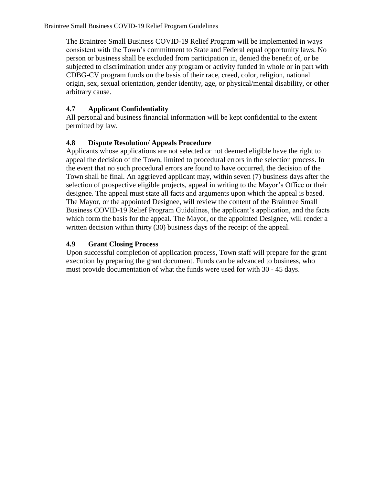The Braintree Small Business COVID-19 Relief Program will be implemented in ways consistent with the Town's commitment to State and Federal equal opportunity laws. No person or business shall be excluded from participation in, denied the benefit of, or be subjected to discrimination under any program or activity funded in whole or in part with CDBG-CV program funds on the basis of their race, creed, color, religion, national origin, sex, sexual orientation, gender identity, age, or physical/mental disability, or other arbitrary cause.

## **4.7 Applicant Confidentiality**

All personal and business financial information will be kept confidential to the extent permitted by law.

## **4.8 Dispute Resolution/ Appeals Procedure**

Applicants whose applications are not selected or not deemed eligible have the right to appeal the decision of the Town, limited to procedural errors in the selection process. In the event that no such procedural errors are found to have occurred, the decision of the Town shall be final. An aggrieved applicant may, within seven (7) business days after the selection of prospective eligible projects, appeal in writing to the Mayor's Office or their designee. The appeal must state all facts and arguments upon which the appeal is based. The Mayor, or the appointed Designee, will review the content of the Braintree Small Business COVID-19 Relief Program Guidelines, the applicant's application, and the facts which form the basis for the appeal. The Mayor, or the appointed Designee, will render a written decision within thirty (30) business days of the receipt of the appeal.

## **4.9 Grant Closing Process**

Upon successful completion of application process, Town staff will prepare for the grant execution by preparing the grant document. Funds can be advanced to business, who must provide documentation of what the funds were used for with 30 - 45 days.